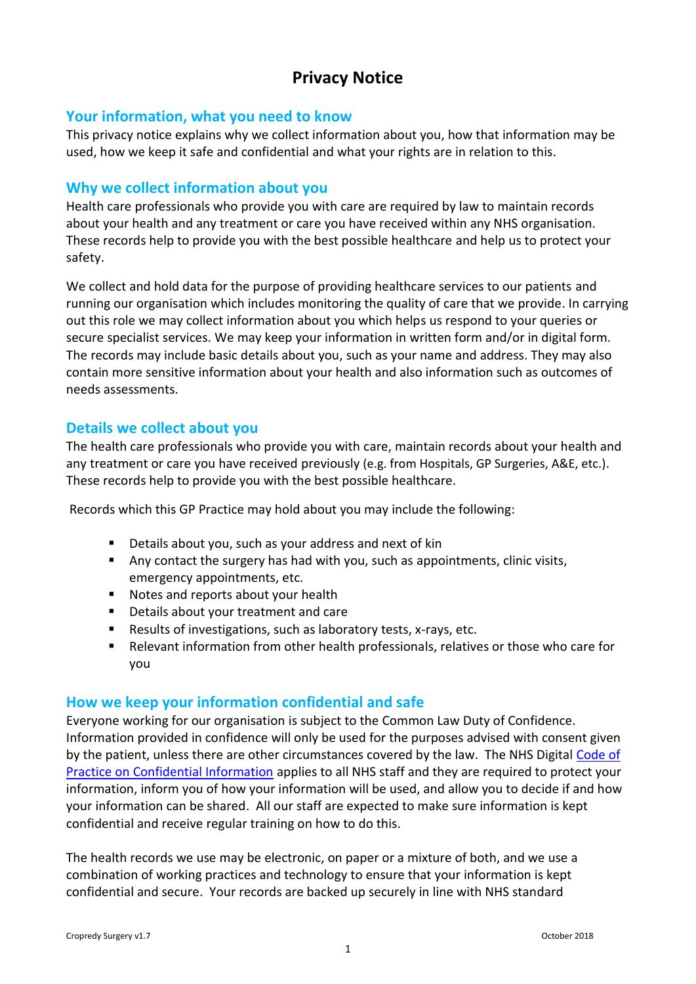# **Privacy Notice**

## **Your information, what you need to know**

This privacy notice explains why we collect information about you, how that information may be used, how we keep it safe and confidential and what your rights are in relation to this.

## **Why we collect information about you**

Health care professionals who provide you with care are required by law to maintain records about your health and any treatment or care you have received within any NHS organisation. These records help to provide you with the best possible healthcare and help us to protect your safety.

We collect and hold data for the purpose of providing healthcare services to our patients and running our organisation which includes monitoring the quality of care that we provide. In carrying out this role we may collect information about you which helps us respond to your queries or secure specialist services. We may keep your information in written form and/or in digital form. The records may include basic details about you, such as your name and address. They may also contain more sensitive information about your health and also information such as outcomes of needs assessments.

## **Details we collect about you**

The health care professionals who provide you with care, maintain records about your health and any treatment or care you have received previously (e.g. from Hospitals, GP Surgeries, A&E, etc.). These records help to provide you with the best possible healthcare.

Records which this GP Practice may hold about you may include the following:

- Details about you, such as your address and next of kin
- Any contact the surgery has had with you, such as appointments, clinic visits, emergency appointments, etc.
- Notes and reports about your health
- Details about your treatment and care
- Results of investigations, such as laboratory tests, x-rays, etc.
- Relevant information from other health professionals, relatives or those who care for you

## **How we keep your information confidential and safe**

Everyone working for our organisation is subject to the Common Law Duty of Confidence. Information provided in confidence will only be used for the purposes advised with consent given by the patient, unless there are other circumstances covered by the law. The NHS Digital [Code of](http://systems.digital.nhs.uk/infogov/codes/cop/code.pdf)  [Practice on Confidential Information](http://systems.digital.nhs.uk/infogov/codes/cop/code.pdf) applies to all NHS staff and they are required to protect your information, inform you of how your information will be used, and allow you to decide if and how your information can be shared. All our staff are expected to make sure information is kept confidential and receive regular training on how to do this.

The health records we use may be electronic, on paper or a mixture of both, and we use a combination of working practices and technology to ensure that your information is kept confidential and secure. Your records are backed up securely in line with NHS standard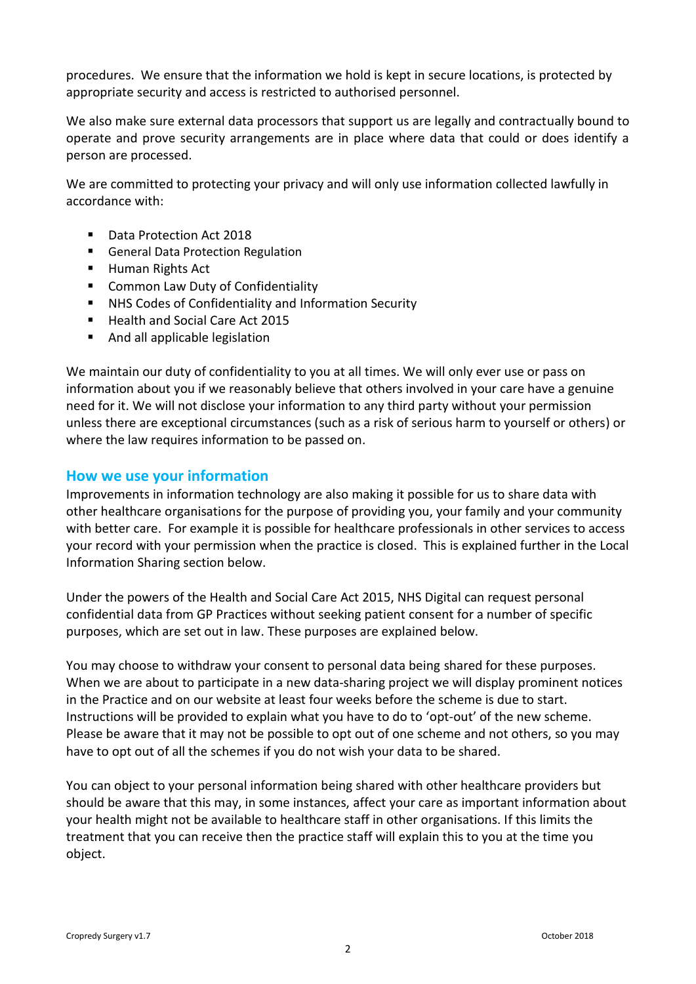procedures. We ensure that the information we hold is kept in secure locations, is protected by appropriate security and access is restricted to authorised personnel.

We also make sure external data processors that support us are legally and contractually bound to operate and prove security arrangements are in place where data that could or does identify a person are processed.

We are committed to protecting your privacy and will only use information collected lawfully in accordance with:

- Data Protection Act 2018
- General Data Protection Regulation
- **Human Rights Act**
- **EXECOMMON Law Duty of Confidentiality**
- NHS Codes of Confidentiality and Information Security
- Health and Social Care Act 2015
- And all applicable legislation

We maintain our duty of confidentiality to you at all times. We will only ever use or pass on information about you if we reasonably believe that others involved in your care have a genuine need for it. We will not disclose your information to any third party without your permission unless there are exceptional circumstances (such as a risk of serious harm to yourself or others) or where the law requires information to be passed on.

## **How we use your information**

Improvements in information technology are also making it possible for us to share data with other healthcare organisations for the purpose of providing you, your family and your community with better care. For example it is possible for healthcare professionals in other services to access your record with your permission when the practice is closed. This is explained further in the Local Information Sharing section below.

Under the powers of the Health and Social Care Act 2015, NHS Digital can request personal confidential data from GP Practices without seeking patient consent for a number of specific purposes, which are set out in law. These purposes are explained below.

You may choose to withdraw your consent to personal data being shared for these purposes. When we are about to participate in a new data-sharing project we will display prominent notices in the Practice and on our website at least four weeks before the scheme is due to start. Instructions will be provided to explain what you have to do to 'opt-out' of the new scheme. Please be aware that it may not be possible to opt out of one scheme and not others, so you may have to opt out of all the schemes if you do not wish your data to be shared.

You can object to your personal information being shared with other healthcare providers but should be aware that this may, in some instances, affect your care as important information about your health might not be available to healthcare staff in other organisations. If this limits the treatment that you can receive then the practice staff will explain this to you at the time you object.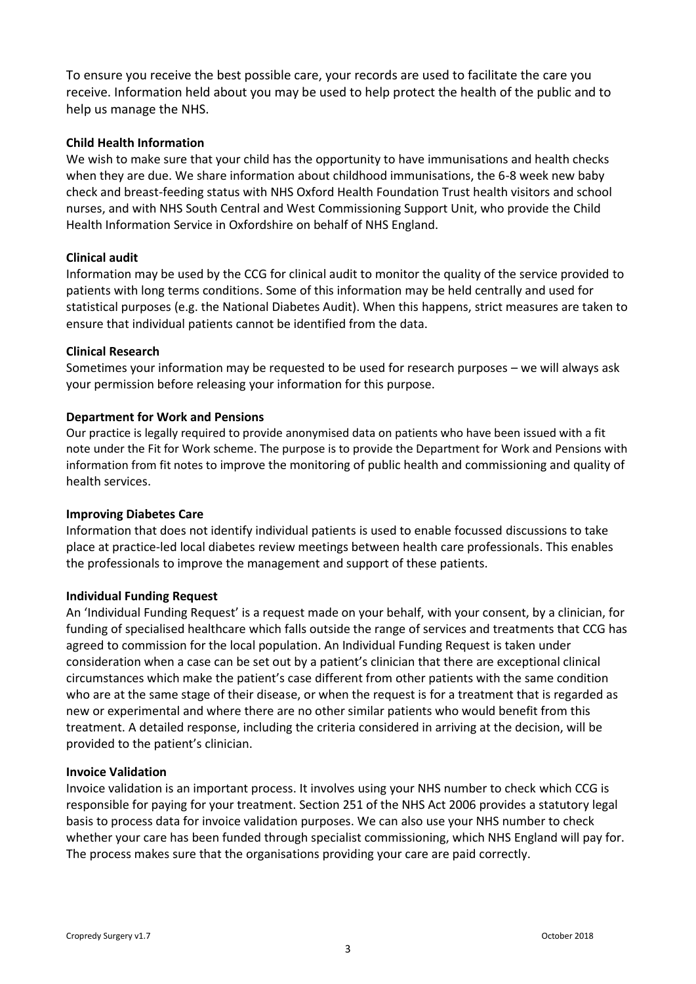To ensure you receive the best possible care, your records are used to facilitate the care you receive. Information held about you may be used to help protect the health of the public and to help us manage the NHS.

#### **Child Health Information**

We wish to make sure that your child has the opportunity to have immunisations and health checks when they are due. We share information about childhood immunisations, the 6-8 week new baby check and breast-feeding status with NHS Oxford Health Foundation Trust health visitors and school nurses, and with NHS South Central and West Commissioning Support Unit, who provide the Child Health Information Service in Oxfordshire on behalf of NHS England.

#### **Clinical audit**

Information may be used by the CCG for clinical audit to monitor the quality of the service provided to patients with long terms conditions. Some of this information may be held centrally and used for statistical purposes (e.g. the National Diabetes Audit). When this happens, strict measures are taken to ensure that individual patients cannot be identified from the data.

#### **Clinical Research**

Sometimes your information may be requested to be used for research purposes – we will always ask your permission before releasing your information for this purpose.

#### **Department for Work and Pensions**

Our practice is legally required to provide anonymised data on patients who have been issued with a fit note under the Fit for Work scheme. The purpose is to provide the Department for Work and Pensions with information from fit notes to improve the monitoring of public health and commissioning and quality of health services.

#### **Improving Diabetes Care**

Information that does not identify individual patients is used to enable focussed discussions to take place at practice-led local diabetes review meetings between health care professionals. This enables the professionals to improve the management and support of these patients.

#### **Individual Funding Request**

An 'Individual Funding Request' is a request made on your behalf, with your consent, by a clinician, for funding of specialised healthcare which falls outside the range of services and treatments that CCG has agreed to commission for the local population. An Individual Funding Request is taken under consideration when a case can be set out by a patient's clinician that there are exceptional clinical circumstances which make the patient's case different from other patients with the same condition who are at the same stage of their disease, or when the request is for a treatment that is regarded as new or experimental and where there are no other similar patients who would benefit from this treatment. A detailed response, including the criteria considered in arriving at the decision, will be provided to the patient's clinician.

#### **Invoice Validation**

Invoice validation is an important process. It involves using your NHS number to check which CCG is responsible for paying for your treatment. Section 251 of the NHS Act 2006 provides a statutory legal basis to process data for invoice validation purposes. We can also use your NHS number to check whether your care has been funded through specialist commissioning, which NHS England will pay for. The process makes sure that the organisations providing your care are paid correctly.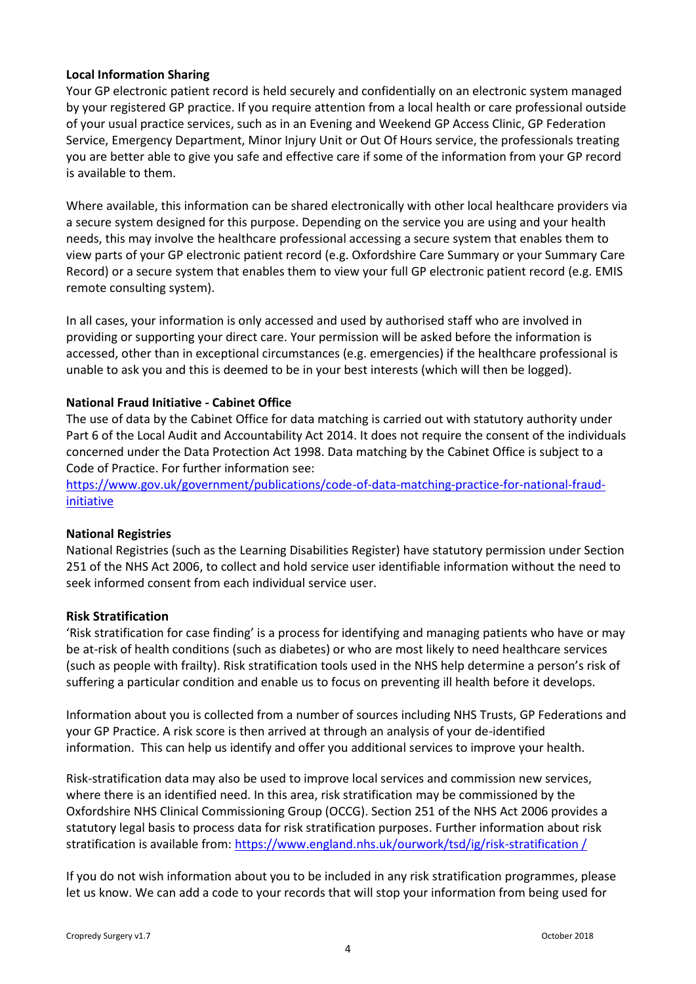#### **Local Information Sharing**

Your GP electronic patient record is held securely and confidentially on an electronic system managed by your registered GP practice. If you require attention from a local health or care professional outside of your usual practice services, such as in an Evening and Weekend GP Access Clinic, GP Federation Service, Emergency Department, Minor Injury Unit or Out Of Hours service, the professionals treating you are better able to give you safe and effective care if some of the information from your GP record is available to them.

Where available, this information can be shared electronically with other local healthcare providers via a secure system designed for this purpose. Depending on the service you are using and your health needs, this may involve the healthcare professional accessing a secure system that enables them to view parts of your GP electronic patient record (e.g. Oxfordshire Care Summary or your Summary Care Record) or a secure system that enables them to view your full GP electronic patient record (e.g. EMIS remote consulting system).

In all cases, your information is only accessed and used by authorised staff who are involved in providing or supporting your direct care. Your permission will be asked before the information is accessed, other than in exceptional circumstances (e.g. emergencies) if the healthcare professional is unable to ask you and this is deemed to be in your best interests (which will then be logged).

#### **National Fraud Initiative - Cabinet Office**

The use of data by the Cabinet Office for data matching is carried out with statutory authority under Part 6 of the Local Audit and Accountability Act 2014. It does not require the consent of the individuals concerned under the Data Protection Act 1998. Data matching by the Cabinet Office is subject to a Code of Practice. For further information see:

[https://www.gov.uk/government/publications/code-of-data-matching-practice-for-national-fraud](https://www.gov.uk/government/publications/code-of-data-matching-practice-for-national-fraud-initiative)[initiative](https://www.gov.uk/government/publications/code-of-data-matching-practice-for-national-fraud-initiative)

#### **National Registries**

National Registries (such as the Learning Disabilities Register) have statutory permission under Section 251 of the NHS Act 2006, to collect and hold service user identifiable information without the need to seek informed consent from each individual service user.

#### **Risk Stratification**

'Risk stratification for case finding' is a process for identifying and managing patients who have or may be at-risk of health conditions (such as diabetes) or who are most likely to need healthcare services (such as people with frailty). Risk stratification tools used in the NHS help determine a person's risk of suffering a particular condition and enable us to focus on preventing ill health before it develops.

Information about you is collected from a number of sources including NHS Trusts, GP Federations and your GP Practice. A risk score is then arrived at through an analysis of your de-identified information. This can help us identify and offer you additional services to improve your health.

Risk-stratification data may also be used to improve local services and commission new services, where there is an identified need. In this area, risk stratification may be commissioned by the Oxfordshire NHS Clinical Commissioning Group (OCCG). Section 251 of the NHS Act 2006 provides a statutory legal basis to process data for risk stratification purposes. Further information about risk stratification is available from: [https://www.england.nhs.uk/ourwork/tsd/ig/risk-stratification /](https://www.england.nhs.uk/ourwork/tsd/ig/risk-stratification%20/)

If you do not wish information about you to be included in any risk stratification programmes, please let us know. We can add a code to your records that will stop your information from being used for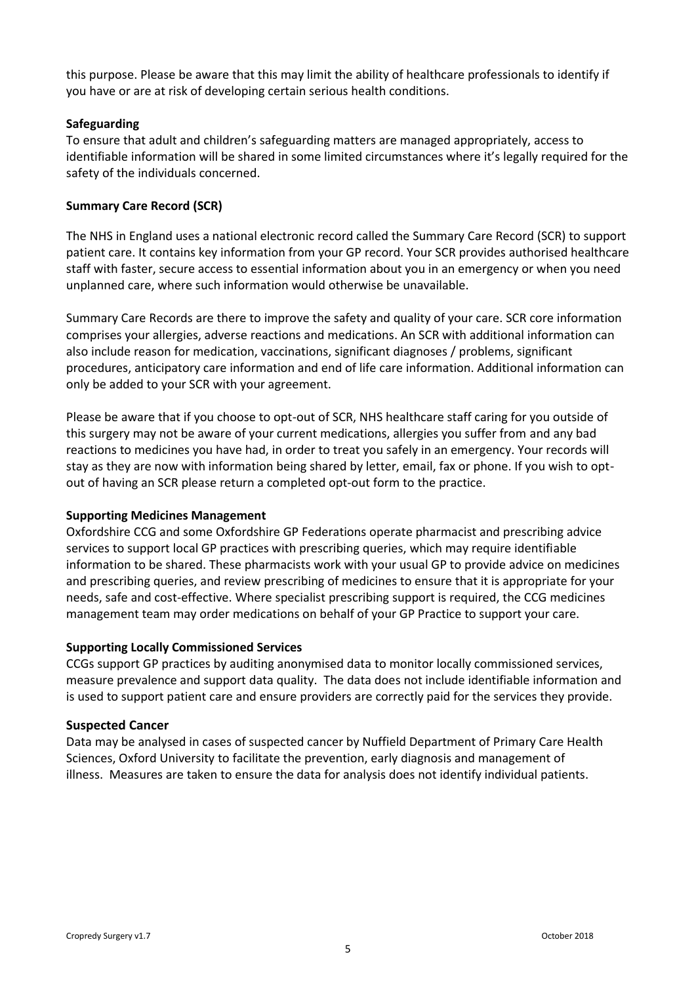this purpose. Please be aware that this may limit the ability of healthcare professionals to identify if you have or are at risk of developing certain serious health conditions.

#### **Safeguarding**

To ensure that adult and children's safeguarding matters are managed appropriately, access to identifiable information will be shared in some limited circumstances where it's legally required for the safety of the individuals concerned.

#### **Summary Care Record (SCR)**

The NHS in England uses a national electronic record called the Summary Care Record (SCR) to support patient care. It contains key information from your GP record. Your SCR provides authorised healthcare staff with faster, secure access to essential information about you in an emergency or when you need unplanned care, where such information would otherwise be unavailable.

Summary Care Records are there to improve the safety and quality of your care. SCR core information comprises your allergies, adverse reactions and medications. An SCR with additional information can also include reason for medication, vaccinations, significant diagnoses / problems, significant procedures, anticipatory care information and end of life care information. Additional information can only be added to your SCR with your agreement.

Please be aware that if you choose to opt-out of SCR, NHS healthcare staff caring for you outside of this surgery may not be aware of your current medications, allergies you suffer from and any bad reactions to medicines you have had, in order to treat you safely in an emergency. Your records will stay as they are now with information being shared by letter, email, fax or phone. If you wish to optout of having an SCR please return a completed opt-out form to the practice.

#### **Supporting Medicines Management**

Oxfordshire CCG and some Oxfordshire GP Federations operate pharmacist and prescribing advice services to support local GP practices with prescribing queries, which may require identifiable information to be shared. These pharmacists work with your usual GP to provide advice on medicines and prescribing queries, and review prescribing of medicines to ensure that it is appropriate for your needs, safe and cost-effective. Where specialist prescribing support is required, the CCG medicines management team may order medications on behalf of your GP Practice to support your care.

#### **Supporting Locally Commissioned Services**

CCGs support GP practices by auditing anonymised data to monitor locally commissioned services, measure prevalence and support data quality. The data does not include identifiable information and is used to support patient care and ensure providers are correctly paid for the services they provide.

#### **Suspected Cancer**

Data may be analysed in cases of suspected cancer by Nuffield Department of Primary Care Health Sciences, Oxford University to facilitate the prevention, early diagnosis and management of illness. Measures are taken to ensure the data for analysis does not identify individual patients.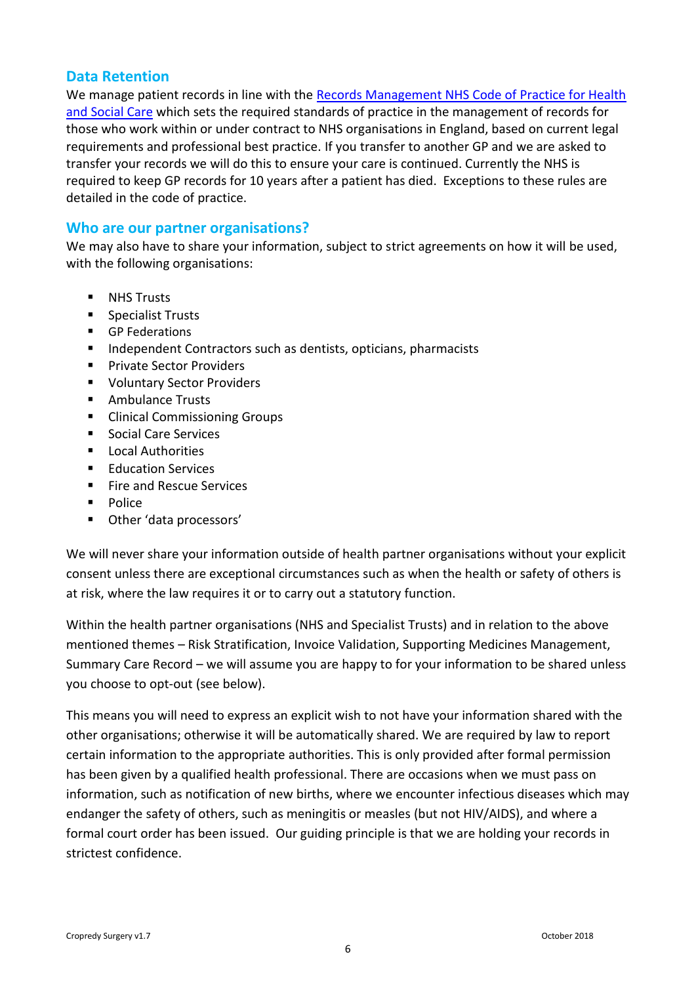## **Data Retention**

We manage patient records in line with the [Records Management NHS Code of](http://webarchive.nationalarchives.gov.uk/20160729133355/http:/systems.hscic.gov.uk/infogov/iga/rmcop16718.pdf) Practice for Health [and Social Care](http://webarchive.nationalarchives.gov.uk/20160729133355/http:/systems.hscic.gov.uk/infogov/iga/rmcop16718.pdf) which sets the required standards of practice in the management of records for those who work within or under contract to NHS organisations in England, based on current legal requirements and professional best practice. If you transfer to another GP and we are asked to transfer your records we will do this to ensure your care is continued. Currently the NHS is required to keep GP records for 10 years after a patient has died. Exceptions to these rules are detailed in the code of practice.

## **Who are our partner organisations?**

We may also have to share your information, subject to strict agreements on how it will be used, with the following organisations:

- **NHS Trusts**
- **Specialist Trusts**
- **GP Federations**
- Independent Contractors such as dentists, opticians, pharmacists
- **Private Sector Providers**
- **U** Voluntary Sector Providers
- Ambulance Trusts
- Clinical Commissioning Groups
- Social Care Services
- **Local Authorities**
- **Education Services**
- $F$  Fire and Rescue Services
- **Police**
- Other 'data processors'

We will never share your information outside of health partner organisations without your explicit consent unless there are exceptional circumstances such as when the health or safety of others is at risk, where the law requires it or to carry out a statutory function.

Within the health partner organisations (NHS and Specialist Trusts) and in relation to the above mentioned themes – Risk Stratification, Invoice Validation, Supporting Medicines Management, Summary Care Record – we will assume you are happy to for your information to be shared unless you choose to opt-out (see below).

This means you will need to express an explicit wish to not have your information shared with the other organisations; otherwise it will be automatically shared. We are required by law to report certain information to the appropriate authorities. This is only provided after formal permission has been given by a qualified health professional. There are occasions when we must pass on information, such as notification of new births, where we encounter infectious diseases which may endanger the safety of others, such as meningitis or measles (but not HIV/AIDS), and where a formal court order has been issued. Our guiding principle is that we are holding your records in strictest confidence.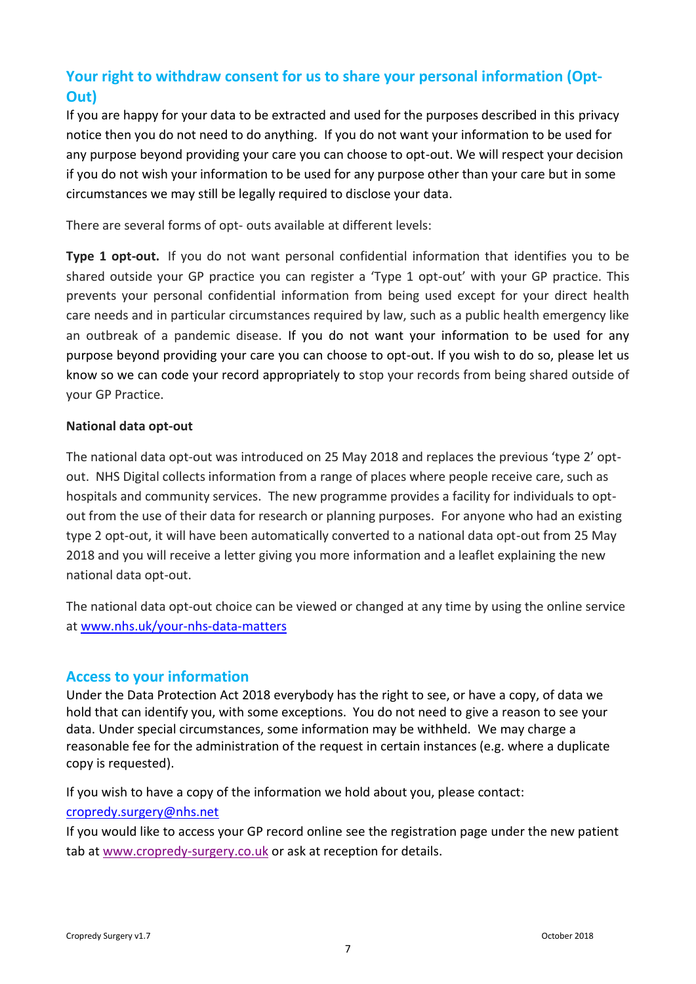# **Your right to withdraw consent for us to share your personal information (Opt-Out)**

If you are happy for your data to be extracted and used for the purposes described in this privacy notice then you do not need to do anything. If you do not want your information to be used for any purpose beyond providing your care you can choose to opt-out. We will respect your decision if you do not wish your information to be used for any purpose other than your care but in some circumstances we may still be legally required to disclose your data.

There are several forms of opt- outs available at different levels:

**Type 1 opt-out.** If you do not want personal confidential information that identifies you to be shared outside your GP practice you can register a 'Type 1 opt-out' with your GP practice. This prevents your personal confidential information from being used except for your direct health care needs and in particular circumstances required by law, such as a public health emergency like an outbreak of a pandemic disease. If you do not want your information to be used for any purpose beyond providing your care you can choose to opt-out. If you wish to do so, please let us know so we can code your record appropriately to stop your records from being shared outside of your GP Practice.

### **National data opt-out**

The national data opt-out was introduced on 25 May 2018 and replaces the previous 'type 2' optout. NHS Digital collects information from a range of places where people receive care, such as hospitals and community services. The new programme provides a facility for individuals to optout from the use of their data for research or planning purposes. For anyone who had an existing type 2 opt-out, it will have been automatically converted to a national data opt-out from 25 May 2018 and you will receive a letter giving you more information and a leaflet explaining the new national data opt-out.

The national data opt-out choice can be viewed or changed at any time by using the online service at [www.nhs.uk/your-nhs-data-matters](http://www.nhs.uk/your-nhs-data-matters)

## **Access to your information**

Under the Data Protection Act 2018 everybody has the right to see, or have a copy, of data we hold that can identify you, with some exceptions. You do not need to give a reason to see your data. Under special circumstances, some information may be withheld. We may charge a reasonable fee for the administration of the request in certain instances (e.g. where a duplicate copy is requested).

If you wish to have a copy of the information we hold about you, please contact:

### [cropredy.surgery@nhs.net](mailto:cropredy.surgery@nhs.net)

If you would like to access your GP record online see the registration page under the new patient tab at [www.cropredy-surgery.co.uk](http://www.cropredy-surgery.co.uk/) or ask at reception for details.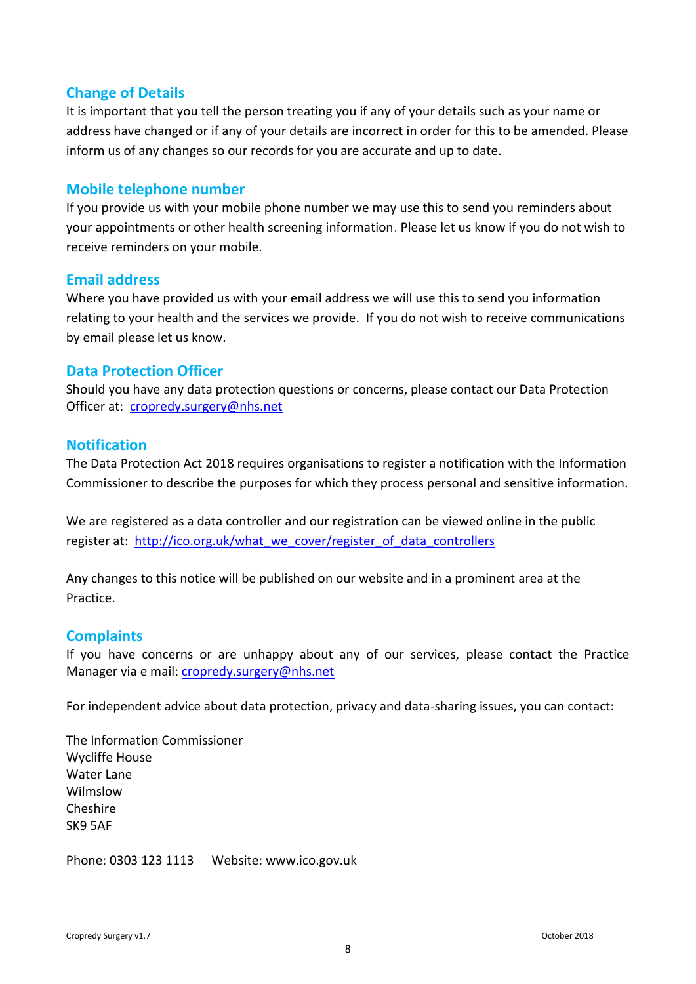## **Change of Details**

It is important that you tell the person treating you if any of your details such as your name or address have changed or if any of your details are incorrect in order for this to be amended. Please inform us of any changes so our records for you are accurate and up to date.

## **Mobile telephone number**

If you provide us with your mobile phone number we may use this to send you reminders about your appointments or other health screening information. Please let us know if you do not wish to receive reminders on your mobile.

## **Email address**

Where you have provided us with your email address we will use this to send you information relating to your health and the services we provide. If you do not wish to receive communications by email please let us know.

### **Data Protection Officer**

Should you have any data protection questions or concerns, please contact our Data Protection Officer at: [cropredy.surgery@nhs.net](mailto:cropredy.surgery@nhs.net)

## **Notification**

The Data Protection Act 2018 requires organisations to register a notification with the Information Commissioner to describe the purposes for which they process personal and sensitive information.

We are registered as a data controller and our registration can be viewed online in the public register at: [http://ico.org.uk/what\\_we\\_cover/register\\_of\\_data\\_controllers](http://ico.org.uk/what_we_cover/register_of_data_controllers)

Any changes to this notice will be published on our website and in a prominent area at the **Practice** 

## **Complaints**

If you have concerns or are unhappy about any of our services, please contact the Practice Manager via e mail: [cropredy.surgery@nhs.net](mailto:cropredy.surgery@nhs.net)

For independent advice about data protection, privacy and data-sharing issues, you can contact:

The Information Commissioner Wycliffe House Water Lane Wilmslow Cheshire SK9 5AF

Phone: 0303 123 1113 Website: [www.ico.gov.uk](http://www.ico.gov.uk/)